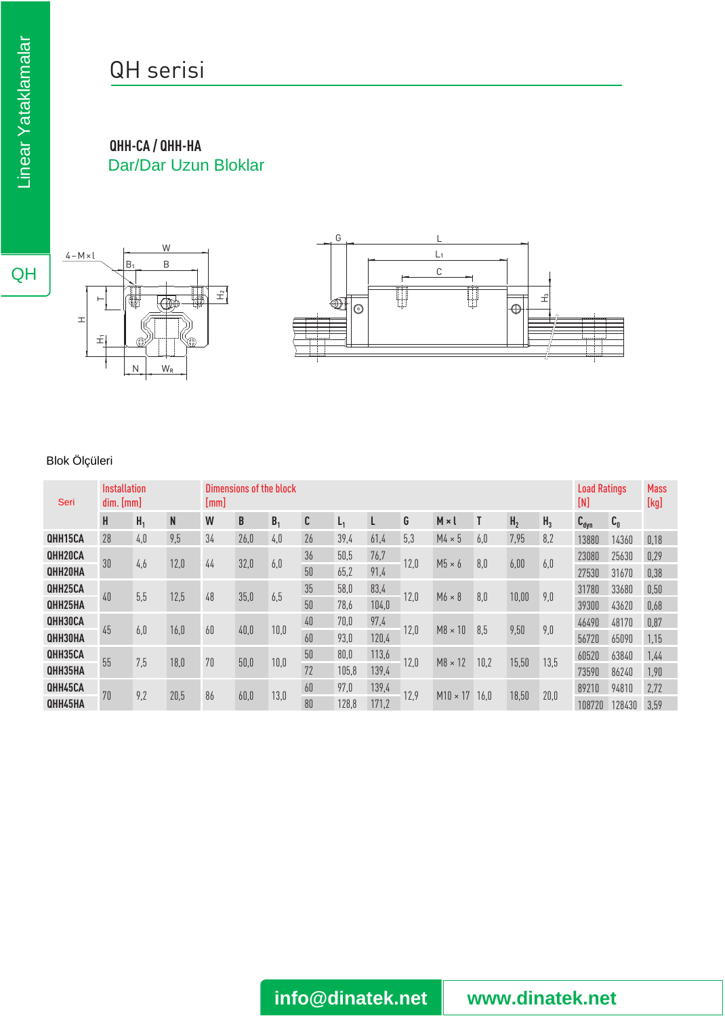## QH serisi

**QHH-CA / QHH-HA** Dar/Dar Uzun Bloklar



## Blok Ölçüleri

| Seri           | Installation<br>dim. [mm] |                |      | Dimensions of the block<br>[mm] |      |                |    |                |       |      |                 |      |                |                |                  | <b>Load Ratings</b><br>[N] |      |
|----------------|---------------------------|----------------|------|---------------------------------|------|----------------|----|----------------|-------|------|-----------------|------|----------------|----------------|------------------|----------------------------|------|
|                | H                         | H <sub>1</sub> | N    | W                               | B    | B <sub>1</sub> | C  | L <sub>1</sub> |       | G    | $M \times I$    |      | H <sub>2</sub> | H <sub>3</sub> | $C_{\text{dyn}}$ | $C_{0}$                    |      |
| QHH15CA        | 28                        | 4,0            | 9,5  | 34                              | 26,0 | 4,0            | 26 | 39,4           | 61,4  | 5,3  | $M4 \times 5$   | 6,0  | 7,95           | 8,2            | 13880            | 14360                      | 0,18 |
| QHH20CA        | 30                        |                | 12,0 | 44                              | 32,0 | 6,0            | 36 | 50,5           | 76,7  | 12,0 | $M5 \times 6$   | 8,0  | 6,00           | 6,0            | 23080            | 25630                      | 0,29 |
| QHH20HA        |                           | 4,6            |      |                                 |      |                | 50 | 65,2           | 91,4  |      |                 |      |                |                | 27530            | 31670                      | 0,38 |
| QHH25CA        | 40                        | 5,5            | 12,5 | 48                              | 35,0 | 6,5            | 35 | 58,0           | 83,4  | 12,0 | $M6 \times 8$   | 8,0  | 10,00          | 9,0            | 31780            | 33680                      | 0,50 |
| QHH25HA        |                           |                |      |                                 |      |                | 50 | 78,6           | 104,0 |      |                 |      |                |                | 39300            | 43620                      | 0,68 |
| QHH30CA        | 45                        | 6,0            | 16,0 | 60                              | 40,0 | 10,0           | 40 | 70,0           | 97,4  | 12,0 | $M8 \times 10$  | 8,5  | 9,50           | 9,0            | 46490            | 48170                      | 0,87 |
| QHH30HA        |                           |                |      |                                 |      |                | 60 | 93,0           | 120,4 |      |                 |      |                |                | 56720            | 65090                      | 1,15 |
| QHH35CA        | 55                        | 7,5            | 18,0 | 70                              | 50,0 | 10,0           | 50 | 80,0           | 113,6 | 12,0 | $M8 \times 12$  | 10,2 | 15,50          | 13,5           | 60520            | 63840                      | 1,44 |
| <b>QHH35HA</b> |                           |                |      |                                 |      |                | 72 | 105,8          | 139,4 |      |                 |      |                |                | 73590            | 86240                      | 1,90 |
| QHH45CA        | 70                        | 9,2            | 20,5 | 86                              | 60,0 | 13,0           | 60 | 97,0           | 139,4 | 12,9 | $M10 \times 17$ | 16.0 | 18,50          | 20,0           | 89210            | 94810                      | 2,72 |
| QHH45HA        |                           |                |      |                                 |      |                | 80 | 128,8          | 171,2 |      |                 |      |                |                | 108720           | 128430                     | 3,59 |